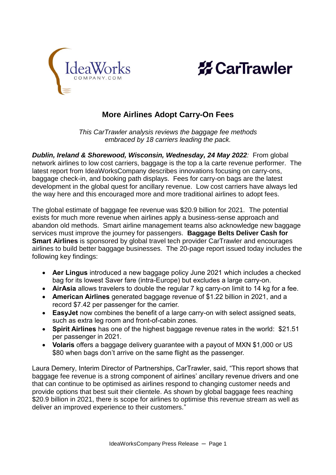



## **More Airlines Adopt Carry-On Fees**

*This CarTrawler analysis reviews the baggage fee methods embraced by 18 carriers leading the pack.*

*Dublin, Ireland & Shorewood, Wisconsin, Wednesday, 24 May 2022:* From global network airlines to low cost carriers, baggage is the top a la carte revenue performer. The latest report from IdeaWorksCompany describes innovations focusing on carry-ons, baggage check-in, and booking path displays. Fees for carry-on bags are the latest development in the global quest for ancillary revenue. Low cost carriers have always led the way here and this encouraged more and more traditional airlines to adopt fees.

The global estimate of baggage fee revenue was \$20.9 billion for 2021. The potential exists for much more revenue when airlines apply a business-sense approach and abandon old methods. Smart airline management teams also acknowledge new baggage services must improve the journey for passengers. **Baggage Belts Deliver Cash for Smart Airlines** is sponsored by global travel tech provider CarTrawler and encourages airlines to build better baggage businesses. The 20-page report issued today includes the following key findings:

- **Aer Lingus** introduced a new baggage policy June 2021 which includes a checked bag for its lowest Saver fare (intra-Europe) but excludes a large carry-on.
- **AirAsia** allows travelers to double the regular 7 kg carry-on limit to 14 kg for a fee.
- **American Airlines** generated baggage revenue of \$1.22 billion in 2021, and a record \$7.42 per passenger for the carrier.
- **EasyJet** now combines the benefit of a large carry-on with select assigned seats, such as extra leg room and front-of-cabin zones.
- **Spirit Airlines** has one of the highest baggage revenue rates in the world: \$21.51 per passenger in 2021.
- **Volaris** offers a baggage delivery guarantee with a payout of MXN \$1,000 or US \$80 when bags don't arrive on the same flight as the passenger.

Laura Demery, Interim Director of Partnerships, CarTrawler, said, "This report shows that baggage fee revenue is a strong component of airlines' ancillary revenue drivers and one that can continue to be optimised as airlines respond to changing customer needs and provide options that best suit their clientele. As shown by global baggage fees reaching \$20.9 billion in 2021, there is scope for airlines to optimise this revenue stream as well as deliver an improved experience to their customers."